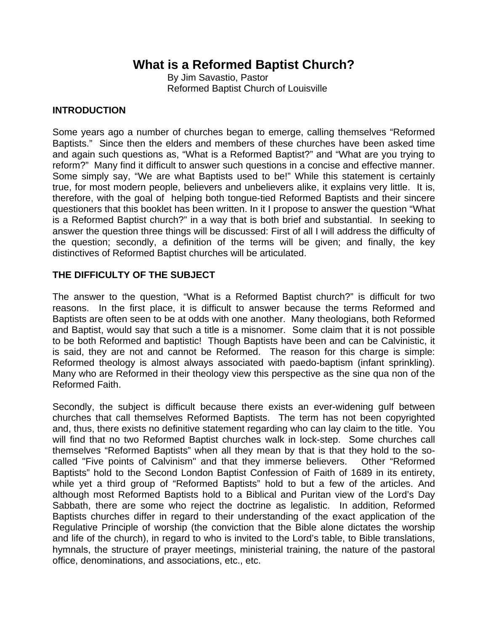# **What is a Reformed Baptist Church?**

 By Jim Savastio, Pastor Reformed Baptist Church of Louisville

## **INTRODUCTION**

Some years ago a number of churches began to emerge, calling themselves "Reformed Baptists." Since then the elders and members of these churches have been asked time and again such questions as, "What is a Reformed Baptist?" and "What are you trying to reform?" Many find it difficult to answer such questions in a concise and effective manner. Some simply say, "We are what Baptists used to be!" While this statement is certainly true, for most modern people, believers and unbelievers alike, it explains very little. It is, therefore, with the goal of helping both tongue-tied Reformed Baptists and their sincere questioners that this booklet has been written. In it I propose to answer the question "What is a Reformed Baptist church?" in a way that is both brief and substantial. In seeking to answer the question three things will be discussed: First of all I will address the difficulty of the question; secondly, a definition of the terms will be given; and finally, the key distinctives of Reformed Baptist churches will be articulated.

## **THE DIFFICULTY OF THE SUBJECT**

The answer to the question, "What is a Reformed Baptist church?" is difficult for two reasons. In the first place, it is difficult to answer because the terms Reformed and Baptists are often seen to be at odds with one another. Many theologians, both Reformed and Baptist, would say that such a title is a misnomer. Some claim that it is not possible to be both Reformed and baptistic! Though Baptists have been and can be Calvinistic, it is said, they are not and cannot be Reformed. The reason for this charge is simple: Reformed theology is almost always associated with paedo-baptism (infant sprinkling). Many who are Reformed in their theology view this perspective as the sine qua non of the Reformed Faith.

Secondly, the subject is difficult because there exists an ever-widening gulf between churches that call themselves Reformed Baptists. The term has not been copyrighted and, thus, there exists no definitive statement regarding who can lay claim to the title. You will find that no two Reformed Baptist churches walk in lock-step. Some churches call themselves "Reformed Baptists" when all they mean by that is that they hold to the socalled "Five points of Calvinism" and that they immerse believers. Other "Reformed Baptists" hold to the Second London Baptist Confession of Faith of 1689 in its entirety, while yet a third group of "Reformed Baptists" hold to but a few of the articles. And although most Reformed Baptists hold to a Biblical and Puritan view of the Lord's Day Sabbath, there are some who reject the doctrine as legalistic. In addition, Reformed Baptists churches differ in regard to their understanding of the exact application of the Regulative Principle of worship (the conviction that the Bible alone dictates the worship and life of the church), in regard to who is invited to the Lord's table, to Bible translations, hymnals, the structure of prayer meetings, ministerial training, the nature of the pastoral office, denominations, and associations, etc., etc.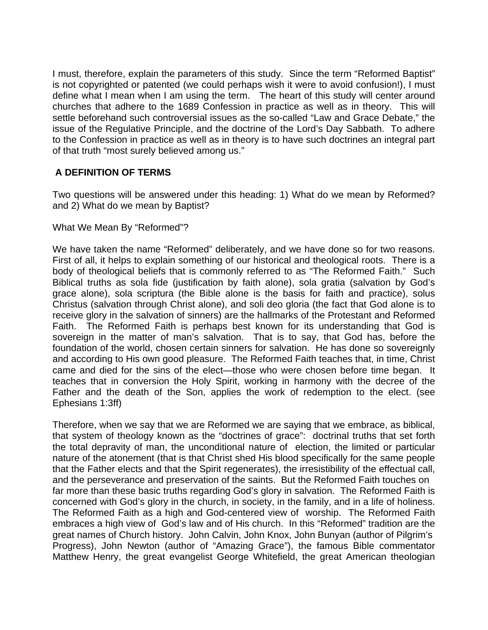I must, therefore, explain the parameters of this study. Since the term "Reformed Baptist" is not copyrighted or patented (we could perhaps wish it were to avoid confusion!), I must define what I mean when I am using the term. The heart of this study will center around churches that adhere to the 1689 Confession in practice as well as in theory. This will settle beforehand such controversial issues as the so-called "Law and Grace Debate," the issue of the Regulative Principle, and the doctrine of the Lord's Day Sabbath. To adhere to the Confession in practice as well as in theory is to have such doctrines an integral part of that truth "most surely believed among us."

## **A DEFINITION OF TERMS**

Two questions will be answered under this heading: 1) What do we mean by Reformed? and 2) What do we mean by Baptist?

### What We Mean By "Reformed"?

We have taken the name "Reformed" deliberately, and we have done so for two reasons. First of all, it helps to explain something of our historical and theological roots. There is a body of theological beliefs that is commonly referred to as "The Reformed Faith." Such Biblical truths as sola fide (justification by faith alone), sola gratia (salvation by God's grace alone), sola scriptura (the Bible alone is the basis for faith and practice), solus Christus (salvation through Christ alone), and soli deo gloria (the fact that God alone is to receive glory in the salvation of sinners) are the hallmarks of the Protestant and Reformed Faith. The Reformed Faith is perhaps best known for its understanding that God is sovereign in the matter of man's salvation. That is to say, that God has, before the foundation of the world, chosen certain sinners for salvation. He has done so sovereignly and according to His own good pleasure. The Reformed Faith teaches that, in time, Christ came and died for the sins of the elect—those who were chosen before time began. It teaches that in conversion the Holy Spirit, working in harmony with the decree of the Father and the death of the Son, applies the work of redemption to the elect. (see Ephesians 1:3ff)

Therefore, when we say that we are Reformed we are saying that we embrace, as biblical, that system of theology known as the "doctrines of grace": doctrinal truths that set forth the total depravity of man, the unconditional nature of election, the limited or particular nature of the atonement (that is that Christ shed His blood specifically for the same people that the Father elects and that the Spirit regenerates), the irresistibility of the effectual call, and the perseverance and preservation of the saints. But the Reformed Faith touches on far more than these basic truths regarding God's glory in salvation. The Reformed Faith is concerned with God's glory in the church, in society, in the family, and in a life of holiness. The Reformed Faith as a high and God-centered view of worship. The Reformed Faith embraces a high view of God's law and of His church. In this "Reformed" tradition are the great names of Church history. John Calvin, John Knox, John Bunyan (author of Pilgrim's Progress), John Newton (author of "Amazing Grace"), the famous Bible commentator Matthew Henry, the great evangelist George Whitefield, the great American theologian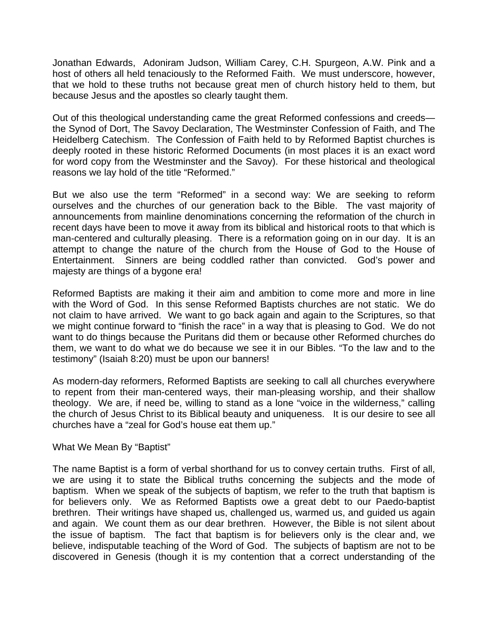Jonathan Edwards, Adoniram Judson, William Carey, C.H. Spurgeon, A.W. Pink and a host of others all held tenaciously to the Reformed Faith. We must underscore, however, that we hold to these truths not because great men of church history held to them, but because Jesus and the apostles so clearly taught them.

Out of this theological understanding came the great Reformed confessions and creeds the Synod of Dort, The Savoy Declaration, The Westminster Confession of Faith, and The Heidelberg Catechism. The Confession of Faith held to by Reformed Baptist churches is deeply rooted in these historic Reformed Documents (in most places it is an exact word for word copy from the Westminster and the Savoy). For these historical and theological reasons we lay hold of the title "Reformed."

But we also use the term "Reformed" in a second way: We are seeking to reform ourselves and the churches of our generation back to the Bible. The vast majority of announcements from mainline denominations concerning the reformation of the church in recent days have been to move it away from its biblical and historical roots to that which is man-centered and culturally pleasing. There is a reformation going on in our day. It is an attempt to change the nature of the church from the House of God to the House of Entertainment. Sinners are being coddled rather than convicted. God's power and majesty are things of a bygone era!

Reformed Baptists are making it their aim and ambition to come more and more in line with the Word of God. In this sense Reformed Baptists churches are not static. We do not claim to have arrived. We want to go back again and again to the Scriptures, so that we might continue forward to "finish the race" in a way that is pleasing to God. We do not want to do things because the Puritans did them or because other Reformed churches do them, we want to do what we do because we see it in our Bibles. "To the law and to the testimony" (Isaiah 8:20) must be upon our banners!

As modern-day reformers, Reformed Baptists are seeking to call all churches everywhere to repent from their man-centered ways, their man-pleasing worship, and their shallow theology. We are, if need be, willing to stand as a lone "voice in the wilderness," calling the church of Jesus Christ to its Biblical beauty and uniqueness. It is our desire to see all churches have a "zeal for God's house eat them up."

#### What We Mean By "Baptist"

The name Baptist is a form of verbal shorthand for us to convey certain truths. First of all, we are using it to state the Biblical truths concerning the subjects and the mode of baptism. When we speak of the subjects of baptism, we refer to the truth that baptism is for believers only. We as Reformed Baptists owe a great debt to our Paedo-baptist brethren. Their writings have shaped us, challenged us, warmed us, and guided us again and again. We count them as our dear brethren. However, the Bible is not silent about the issue of baptism. The fact that baptism is for believers only is the clear and, we believe, indisputable teaching of the Word of God. The subjects of baptism are not to be discovered in Genesis (though it is my contention that a correct understanding of the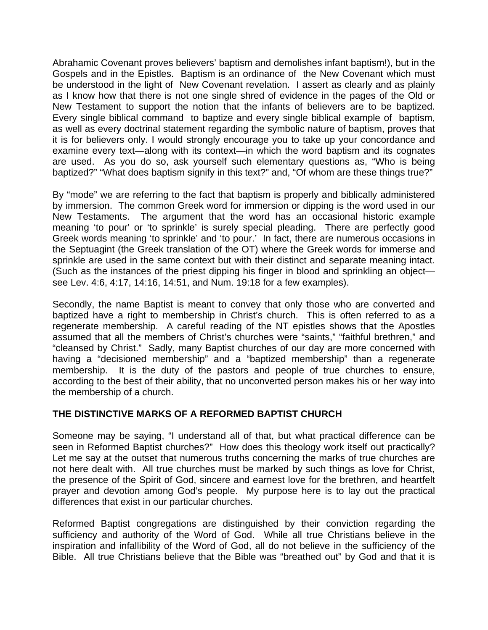Abrahamic Covenant proves believers' baptism and demolishes infant baptism!), but in the Gospels and in the Epistles. Baptism is an ordinance of the New Covenant which must be understood in the light of New Covenant revelation. I assert as clearly and as plainly as I know how that there is not one single shred of evidence in the pages of the Old or New Testament to support the notion that the infants of believers are to be baptized. Every single biblical command to baptize and every single biblical example of baptism, as well as every doctrinal statement regarding the symbolic nature of baptism, proves that it is for believers only. I would strongly encourage you to take up your concordance and examine every text—along with its context—in which the word baptism and its cognates are used. As you do so, ask yourself such elementary questions as, "Who is being baptized?" "What does baptism signify in this text?" and, "Of whom are these things true?"

By "mode" we are referring to the fact that baptism is properly and biblically administered by immersion. The common Greek word for immersion or dipping is the word used in our New Testaments. The argument that the word has an occasional historic example meaning 'to pour' or 'to sprinkle' is surely special pleading. There are perfectly good Greek words meaning 'to sprinkle' and 'to pour.' In fact, there are numerous occasions in the Septuagint (the Greek translation of the OT) where the Greek words for immerse and sprinkle are used in the same context but with their distinct and separate meaning intact. (Such as the instances of the priest dipping his finger in blood and sprinkling an object see Lev. 4:6, 4:17, 14:16, 14:51, and Num. 19:18 for a few examples).

Secondly, the name Baptist is meant to convey that only those who are converted and baptized have a right to membership in Christ's church. This is often referred to as a regenerate membership. A careful reading of the NT epistles shows that the Apostles assumed that all the members of Christ's churches were "saints," "faithful brethren," and "cleansed by Christ." Sadly, many Baptist churches of our day are more concerned with having a "decisioned membership" and a "baptized membership" than a regenerate membership. It is the duty of the pastors and people of true churches to ensure, according to the best of their ability, that no unconverted person makes his or her way into the membership of a church.

## **THE DISTINCTIVE MARKS OF A REFORMED BAPTIST CHURCH**

Someone may be saying, "I understand all of that, but what practical difference can be seen in Reformed Baptist churches?" How does this theology work itself out practically? Let me say at the outset that numerous truths concerning the marks of true churches are not here dealt with. All true churches must be marked by such things as love for Christ, the presence of the Spirit of God, sincere and earnest love for the brethren, and heartfelt prayer and devotion among God's people. My purpose here is to lay out the practical differences that exist in our particular churches.

Reformed Baptist congregations are distinguished by their conviction regarding the sufficiency and authority of the Word of God. While all true Christians believe in the inspiration and infallibility of the Word of God, all do not believe in the sufficiency of the Bible. All true Christians believe that the Bible was "breathed out" by God and that it is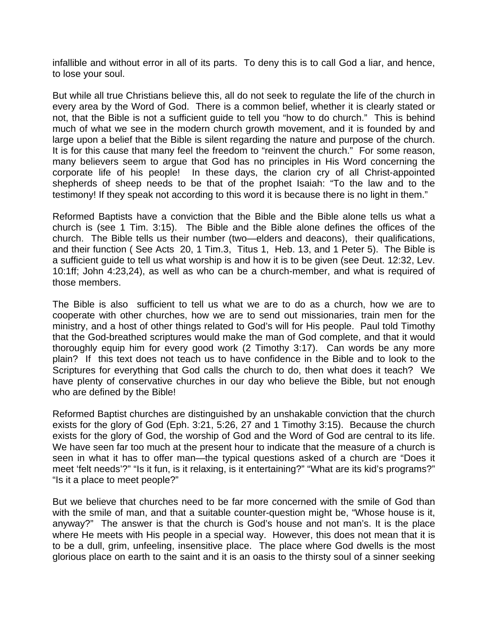infallible and without error in all of its parts. To deny this is to call God a liar, and hence, to lose your soul.

But while all true Christians believe this, all do not seek to regulate the life of the church in every area by the Word of God. There is a common belief, whether it is clearly stated or not, that the Bible is not a sufficient guide to tell you "how to do church." This is behind much of what we see in the modern church growth movement, and it is founded by and large upon a belief that the Bible is silent regarding the nature and purpose of the church. It is for this cause that many feel the freedom to "reinvent the church." For some reason, many believers seem to argue that God has no principles in His Word concerning the corporate life of his people! In these days, the clarion cry of all Christ-appointed shepherds of sheep needs to be that of the prophet Isaiah: "To the law and to the testimony! If they speak not according to this word it is because there is no light in them."

Reformed Baptists have a conviction that the Bible and the Bible alone tells us what a church is (see 1 Tim. 3:15). The Bible and the Bible alone defines the offices of the church. The Bible tells us their number (two—elders and deacons), their qualifications, and their function ( See Acts 20, 1 Tim.3, Titus 1, Heb. 13, and 1 Peter 5). The Bible is a sufficient guide to tell us what worship is and how it is to be given (see Deut. 12:32, Lev. 10:1ff; John 4:23,24), as well as who can be a church-member, and what is required of those members.

The Bible is also sufficient to tell us what we are to do as a church, how we are to cooperate with other churches, how we are to send out missionaries, train men for the ministry, and a host of other things related to God's will for His people. Paul told Timothy that the God-breathed scriptures would make the man of God complete, and that it would thoroughly equip him for every good work (2 Timothy 3:17). Can words be any more plain? If this text does not teach us to have confidence in the Bible and to look to the Scriptures for everything that God calls the church to do, then what does it teach? We have plenty of conservative churches in our day who believe the Bible, but not enough who are defined by the Bible!

Reformed Baptist churches are distinguished by an unshakable conviction that the church exists for the glory of God (Eph. 3:21, 5:26, 27 and 1 Timothy 3:15). Because the church exists for the glory of God, the worship of God and the Word of God are central to its life. We have seen far too much at the present hour to indicate that the measure of a church is seen in what it has to offer man—the typical questions asked of a church are "Does it meet 'felt needs'?" "Is it fun, is it relaxing, is it entertaining?" "What are its kid's programs?" "Is it a place to meet people?"

But we believe that churches need to be far more concerned with the smile of God than with the smile of man, and that a suitable counter-question might be, "Whose house is it, anyway?" The answer is that the church is God's house and not man's. It is the place where He meets with His people in a special way. However, this does not mean that it is to be a dull, grim, unfeeling, insensitive place. The place where God dwells is the most glorious place on earth to the saint and it is an oasis to the thirsty soul of a sinner seeking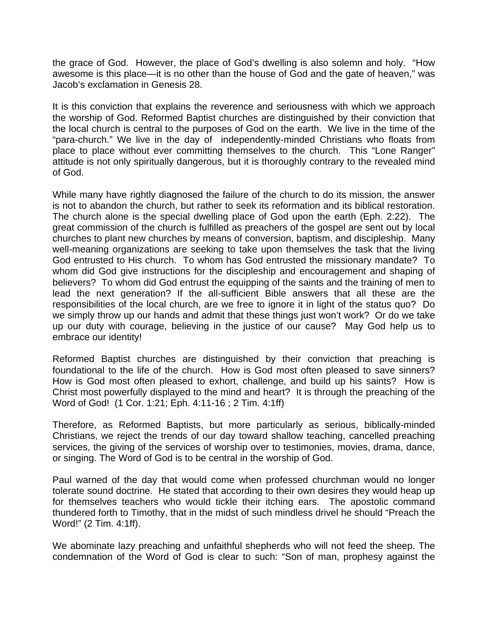the grace of God. However, the place of God's dwelling is also solemn and holy. "How awesome is this place—it is no other than the house of God and the gate of heaven," was Jacob's exclamation in Genesis 28.

It is this conviction that explains the reverence and seriousness with which we approach the worship of God. Reformed Baptist churches are distinguished by their conviction that the local church is central to the purposes of God on the earth. We live in the time of the "para-church." We live in the day of independently-minded Christians who floats from place to place without ever committing themselves to the church. This "Lone Ranger" attitude is not only spiritually dangerous, but it is thoroughly contrary to the revealed mind of God.

While many have rightly diagnosed the failure of the church to do its mission, the answer is not to abandon the church, but rather to seek its reformation and its biblical restoration. The church alone is the special dwelling place of God upon the earth (Eph. 2:22). The great commission of the church is fulfilled as preachers of the gospel are sent out by local churches to plant new churches by means of conversion, baptism, and discipleship. Many well-meaning organizations are seeking to take upon themselves the task that the living God entrusted to His church. To whom has God entrusted the missionary mandate? To whom did God give instructions for the discipleship and encouragement and shaping of believers? To whom did God entrust the equipping of the saints and the training of men to lead the next generation? If the all-sufficient Bible answers that all these are the responsibilities of the local church, are we free to ignore it in light of the status quo? Do we simply throw up our hands and admit that these things just won't work? Or do we take up our duty with courage, believing in the justice of our cause? May God help us to embrace our identity!

Reformed Baptist churches are distinguished by their conviction that preaching is foundational to the life of the church. How is God most often pleased to save sinners? How is God most often pleased to exhort, challenge, and build up his saints? How is Christ most powerfully displayed to the mind and heart? It is through the preaching of the Word of God! (1 Cor. 1:21; Eph. 4:11-16 ; 2 Tim. 4:1ff)

Therefore, as Reformed Baptists, but more particularly as serious, biblically-minded Christians, we reject the trends of our day toward shallow teaching, cancelled preaching services, the giving of the services of worship over to testimonies, movies, drama, dance, or singing. The Word of God is to be central in the worship of God.

Paul warned of the day that would come when professed churchman would no longer tolerate sound doctrine. He stated that according to their own desires they would heap up for themselves teachers who would tickle their itching ears. The apostolic command thundered forth to Timothy, that in the midst of such mindless drivel he should "Preach the Word!" (2 Tim. 4:1ff).

We abominate lazy preaching and unfaithful shepherds who will not feed the sheep. The condemnation of the Word of God is clear to such: "Son of man, prophesy against the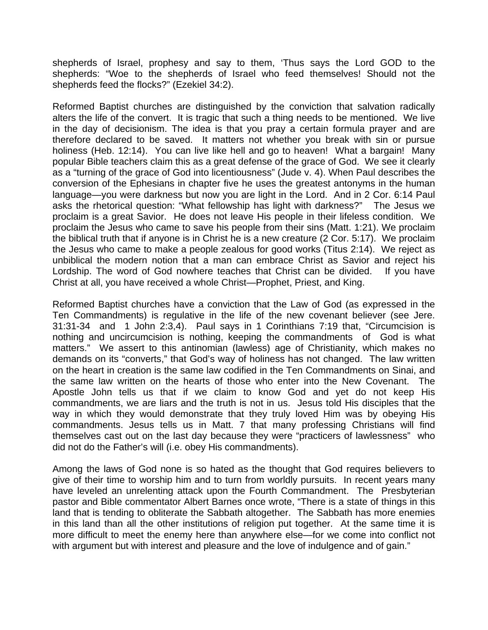shepherds of Israel, prophesy and say to them, 'Thus says the Lord GOD to the shepherds: "Woe to the shepherds of Israel who feed themselves! Should not the shepherds feed the flocks?" (Ezekiel 34:2).

Reformed Baptist churches are distinguished by the conviction that salvation radically alters the life of the convert. It is tragic that such a thing needs to be mentioned. We live in the day of decisionism. The idea is that you pray a certain formula prayer and are therefore declared to be saved. It matters not whether you break with sin or pursue holiness (Heb. 12:14). You can live like hell and go to heaven! What a bargain! Many popular Bible teachers claim this as a great defense of the grace of God. We see it clearly as a "turning of the grace of God into licentiousness" (Jude v. 4). When Paul describes the conversion of the Ephesians in chapter five he uses the greatest antonyms in the human language—you were darkness but now you are light in the Lord. And in 2 Cor. 6:14 Paul asks the rhetorical question: "What fellowship has light with darkness?" The Jesus we proclaim is a great Savior. He does not leave His people in their lifeless condition. We proclaim the Jesus who came to save his people from their sins (Matt. 1:21). We proclaim the biblical truth that if anyone is in Christ he is a new creature (2 Cor. 5:17). We proclaim the Jesus who came to make a people zealous for good works (Titus 2:14). We reject as unbiblical the modern notion that a man can embrace Christ as Savior and reject his Lordship. The word of God nowhere teaches that Christ can be divided. If you have Christ at all, you have received a whole Christ—Prophet, Priest, and King.

Reformed Baptist churches have a conviction that the Law of God (as expressed in the Ten Commandments) is regulative in the life of the new covenant believer (see Jere. 31:31-34 and 1 John 2:3,4). Paul says in 1 Corinthians 7:19 that, "Circumcision is nothing and uncircumcision is nothing, keeping the commandments of God is what matters." We assert to this antinomian (lawless) age of Christianity, which makes no demands on its "converts," that God's way of holiness has not changed. The law written on the heart in creation is the same law codified in the Ten Commandments on Sinai, and the same law written on the hearts of those who enter into the New Covenant. The Apostle John tells us that if we claim to know God and yet do not keep His commandments, we are liars and the truth is not in us. Jesus told His disciples that the way in which they would demonstrate that they truly loved Him was by obeying His commandments. Jesus tells us in Matt. 7 that many professing Christians will find themselves cast out on the last day because they were "practicers of lawlessness" who did not do the Father's will (i.e. obey His commandments).

Among the laws of God none is so hated as the thought that God requires believers to give of their time to worship him and to turn from worldly pursuits. In recent years many have leveled an unrelenting attack upon the Fourth Commandment. The Presbyterian pastor and Bible commentator Albert Barnes once wrote, "There is a state of things in this land that is tending to obliterate the Sabbath altogether. The Sabbath has more enemies in this land than all the other institutions of religion put together. At the same time it is more difficult to meet the enemy here than anywhere else—for we come into conflict not with argument but with interest and pleasure and the love of indulgence and of gain."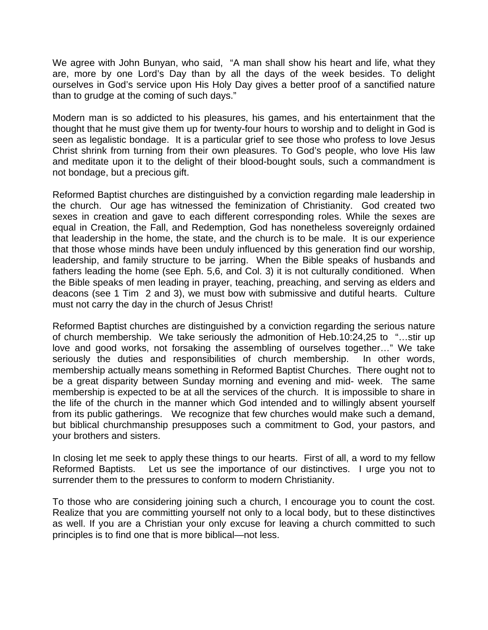We agree with John Bunyan, who said, "A man shall show his heart and life, what they are, more by one Lord's Day than by all the days of the week besides. To delight ourselves in God's service upon His Holy Day gives a better proof of a sanctified nature than to grudge at the coming of such days."

Modern man is so addicted to his pleasures, his games, and his entertainment that the thought that he must give them up for twenty-four hours to worship and to delight in God is seen as legalistic bondage. It is a particular grief to see those who profess to love Jesus Christ shrink from turning from their own pleasures. To God's people, who love His law and meditate upon it to the delight of their blood-bought souls, such a commandment is not bondage, but a precious gift.

Reformed Baptist churches are distinguished by a conviction regarding male leadership in the church. Our age has witnessed the feminization of Christianity. God created two sexes in creation and gave to each different corresponding roles. While the sexes are equal in Creation, the Fall, and Redemption, God has nonetheless sovereignly ordained that leadership in the home, the state, and the church is to be male. It is our experience that those whose minds have been unduly influenced by this generation find our worship, leadership, and family structure to be jarring. When the Bible speaks of husbands and fathers leading the home (see Eph. 5,6, and Col. 3) it is not culturally conditioned. When the Bible speaks of men leading in prayer, teaching, preaching, and serving as elders and deacons (see 1 Tim 2 and 3), we must bow with submissive and dutiful hearts. Culture must not carry the day in the church of Jesus Christ!

Reformed Baptist churches are distinguished by a conviction regarding the serious nature of church membership. We take seriously the admonition of Heb.10:24,25 to "…stir up love and good works, not forsaking the assembling of ourselves together…" We take seriously the duties and responsibilities of church membership. In other words, membership actually means something in Reformed Baptist Churches. There ought not to be a great disparity between Sunday morning and evening and mid- week. The same membership is expected to be at all the services of the church. It is impossible to share in the life of the church in the manner which God intended and to willingly absent yourself from its public gatherings. We recognize that few churches would make such a demand, but biblical churchmanship presupposes such a commitment to God, your pastors, and your brothers and sisters.

In closing let me seek to apply these things to our hearts. First of all, a word to my fellow Reformed Baptists. Let us see the importance of our distinctives. I urge you not to surrender them to the pressures to conform to modern Christianity.

To those who are considering joining such a church, I encourage you to count the cost. Realize that you are committing yourself not only to a local body, but to these distinctives as well. If you are a Christian your only excuse for leaving a church committed to such principles is to find one that is more biblical—not less.